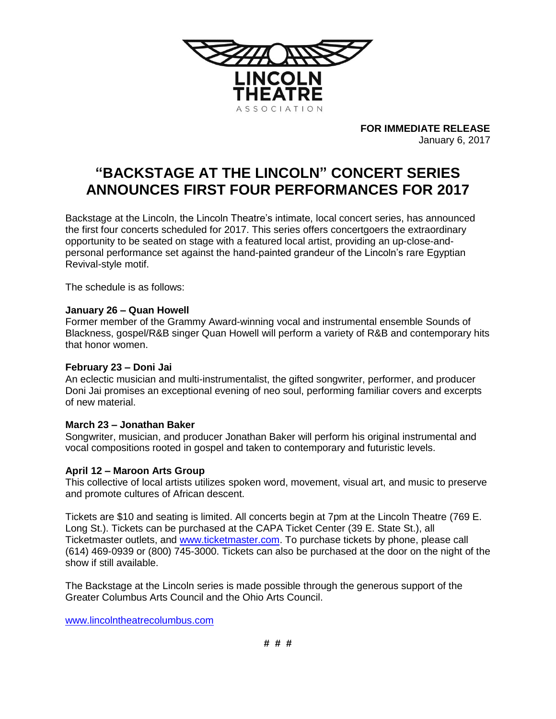

**FOR IMMEDIATE RELEASE** January 6, 2017

# **"BACKSTAGE AT THE LINCOLN" CONCERT SERIES ANNOUNCES FIRST FOUR PERFORMANCES FOR 2017**

Backstage at the Lincoln, the Lincoln Theatre's intimate, local concert series, has announced the first four concerts scheduled for 2017. This series offers concertgoers the extraordinary opportunity to be seated on stage with a featured local artist, providing an up-close-andpersonal performance set against the hand-painted grandeur of the Lincoln's rare Egyptian Revival-style motif.

The schedule is as follows:

### **January 26 – Quan Howell**

Former member of the Grammy Award-winning vocal and instrumental ensemble Sounds of Blackness, gospel/R&B singer Quan Howell will perform a variety of R&B and contemporary hits that honor women.

#### **February 23 – Doni Jai**

An eclectic musician and multi-instrumentalist, the gifted songwriter, performer, and producer Doni Jai promises an exceptional evening of neo soul, performing familiar covers and excerpts of new material.

#### **March 23 – Jonathan Baker**

Songwriter, musician, and producer Jonathan Baker will perform his original instrumental and vocal compositions rooted in gospel and taken to contemporary and futuristic levels.

## **April 12 – Maroon Arts Group**

This collective of local artists utilizes spoken word, movement, visual art, and music to preserve and promote cultures of African descent.

Tickets are \$10 and seating is limited. All concerts begin at 7pm at the Lincoln Theatre (769 E. Long St.). Tickets can be purchased at the CAPA Ticket Center (39 E. State St.), all Ticketmaster outlets, and [www.ticketmaster.com.](http://www.ticketmaster.com/) To purchase tickets by phone, please call (614) 469-0939 or (800) 745-3000. Tickets can also be purchased at the door on the night of the show if still available.

The Backstage at the Lincoln series is made possible through the generous support of the Greater Columbus Arts Council and the Ohio Arts Council.

[www.lincolntheatrecolumbus.com](http://www.lincolntheatrecolumbus.com/)

**# # #**